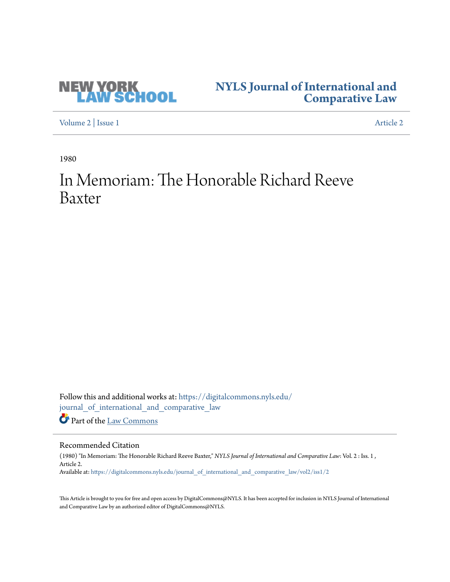

## **[NYLS Journal of International and](https://digitalcommons.nyls.edu/journal_of_international_and_comparative_law?utm_source=digitalcommons.nyls.edu%2Fjournal_of_international_and_comparative_law%2Fvol2%2Fiss1%2F2&utm_medium=PDF&utm_campaign=PDFCoverPages) [Comparative Law](https://digitalcommons.nyls.edu/journal_of_international_and_comparative_law?utm_source=digitalcommons.nyls.edu%2Fjournal_of_international_and_comparative_law%2Fvol2%2Fiss1%2F2&utm_medium=PDF&utm_campaign=PDFCoverPages)**

[Volume 2](https://digitalcommons.nyls.edu/journal_of_international_and_comparative_law/vol2?utm_source=digitalcommons.nyls.edu%2Fjournal_of_international_and_comparative_law%2Fvol2%2Fiss1%2F2&utm_medium=PDF&utm_campaign=PDFCoverPages) | [Issue 1](https://digitalcommons.nyls.edu/journal_of_international_and_comparative_law/vol2/iss1?utm_source=digitalcommons.nyls.edu%2Fjournal_of_international_and_comparative_law%2Fvol2%2Fiss1%2F2&utm_medium=PDF&utm_campaign=PDFCoverPages) [Article 2](https://digitalcommons.nyls.edu/journal_of_international_and_comparative_law/vol2/iss1/2?utm_source=digitalcommons.nyls.edu%2Fjournal_of_international_and_comparative_law%2Fvol2%2Fiss1%2F2&utm_medium=PDF&utm_campaign=PDFCoverPages)

1980

# In Memoriam: The Honorable Richard Reeve Baxter

Follow this and additional works at: [https://digitalcommons.nyls.edu/](https://digitalcommons.nyls.edu/journal_of_international_and_comparative_law?utm_source=digitalcommons.nyls.edu%2Fjournal_of_international_and_comparative_law%2Fvol2%2Fiss1%2F2&utm_medium=PDF&utm_campaign=PDFCoverPages) [journal\\_of\\_international\\_and\\_comparative\\_law](https://digitalcommons.nyls.edu/journal_of_international_and_comparative_law?utm_source=digitalcommons.nyls.edu%2Fjournal_of_international_and_comparative_law%2Fvol2%2Fiss1%2F2&utm_medium=PDF&utm_campaign=PDFCoverPages) Part of the [Law Commons](http://network.bepress.com/hgg/discipline/578?utm_source=digitalcommons.nyls.edu%2Fjournal_of_international_and_comparative_law%2Fvol2%2Fiss1%2F2&utm_medium=PDF&utm_campaign=PDFCoverPages)

### Recommended Citation

(1980) "In Memoriam: The Honorable Richard Reeve Baxter," *NYLS Journal of International and Comparative Law*: Vol. 2 : Iss. 1 , Article 2. Available at: [https://digitalcommons.nyls.edu/journal\\_of\\_international\\_and\\_comparative\\_law/vol2/iss1/2](https://digitalcommons.nyls.edu/journal_of_international_and_comparative_law/vol2/iss1/2?utm_source=digitalcommons.nyls.edu%2Fjournal_of_international_and_comparative_law%2Fvol2%2Fiss1%2F2&utm_medium=PDF&utm_campaign=PDFCoverPages)

This Article is brought to you for free and open access by DigitalCommons@NYLS. It has been accepted for inclusion in NYLS Journal of International and Comparative Law by an authorized editor of DigitalCommons@NYLS.